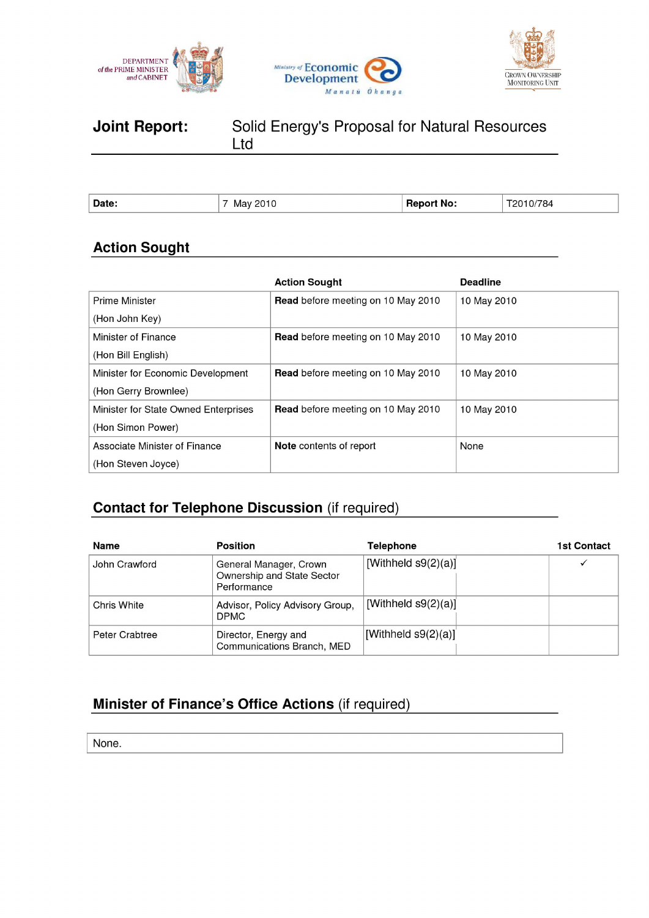





# **Joint Report:** Solid Energy's Proposal for Natural Resources Ltd

| <b>Date</b> | <b>Contract Contract Contract</b><br>Ma' | No. | 784 |
|-------------|------------------------------------------|-----|-----|
|             |                                          |     |     |

# **Action Sought**

|                                      | <b>Action Sought</b>                      | <b>Deadline</b> |
|--------------------------------------|-------------------------------------------|-----------------|
| <b>Prime Minister</b>                | <b>Read</b> before meeting on 10 May 2010 | 10 May 2010     |
| (Hon John Key)                       |                                           |                 |
| Minister of Finance                  | <b>Read</b> before meeting on 10 May 2010 | 10 May 2010     |
| (Hon Bill English)                   |                                           |                 |
| Minister for Economic Development    | <b>Read</b> before meeting on 10 May 2010 | 10 May 2010     |
| (Hon Gerry Brownlee)                 |                                           |                 |
| Minister for State Owned Enterprises | <b>Read</b> before meeting on 10 May 2010 | 10 May 2010     |
| (Hon Simon Power)                    |                                           |                 |
| Associate Minister of Finance        | <b>Note</b> contents of report            | None            |
| (Hon Steven Joyce)                   |                                           |                 |

## **Contact for Telephone Discussion** (if required)

| <b>Name</b>    | <b>Position</b>                                                     | Telephone              | <b>1st Contact</b> |
|----------------|---------------------------------------------------------------------|------------------------|--------------------|
| John Crawford  | General Manager, Crown<br>Ownership and State Sector<br>Performance | [Withheld $s9(2)(a)$ ] |                    |
| Chris White    | Advisor, Policy Advisory Group,<br><b>DPMC</b>                      | [Withheld $s9(2)(a)$ ] |                    |
| Peter Crabtree | Director, Energy and<br>Communications Branch, MED                  | [Withheld $s9(2)(a)$ ] |                    |

# **Minister of Finance's Office Actions** (if required)

None.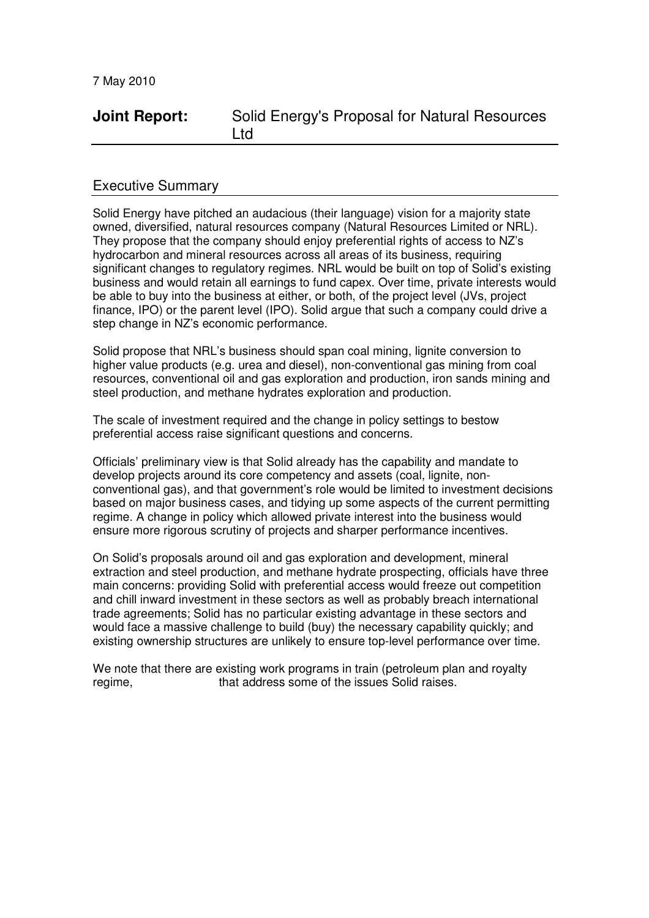## **Joint Report:** Solid Energy's Proposal for Natural Resources Ltd

### Executive Summary

Solid Energy have pitched an audacious (their language) vision for a majority state owned, diversified, natural resources company (Natural Resources Limited or NRL). They propose that the company should enjoy preferential rights of access to NZ's hydrocarbon and mineral resources across all areas of its business, requiring significant changes to regulatory regimes. NRL would be built on top of Solid's existing business and would retain all earnings to fund capex. Over time, private interests would be able to buy into the business at either, or both, of the project level (JVs, project finance, IPO) or the parent level (IPO). Solid argue that such a company could drive a step change in NZ's economic performance.

Solid propose that NRL's business should span coal mining, lignite conversion to higher value products (e.g. urea and diesel), non-conventional gas mining from coal resources, conventional oil and gas exploration and production, iron sands mining and steel production, and methane hydrates exploration and production.

The scale of investment required and the change in policy settings to bestow preferential access raise significant questions and concerns.

Officials' preliminary view is that Solid already has the capability and mandate to develop projects around its core competency and assets (coal, lignite, nonconventional gas), and that government's role would be limited to investment decisions based on major business cases, and tidying up some aspects of the current permitting regime. A change in policy which allowed private interest into the business would ensure more rigorous scrutiny of projects and sharper performance incentives.

On Solid's proposals around oil and gas exploration and development, mineral extraction and steel production, and methane hydrate prospecting, officials have three main concerns: providing Solid with preferential access would freeze out competition and chill inward investment in these sectors as well as probably breach international trade agreements; Solid has no particular existing advantage in these sectors and would face a massive challenge to build (buy) the necessary capability quickly; and existing ownership structures are unlikely to ensure top-level performance over time.

We note that there are existing work programs in train (petroleum plan and royalty regime, that address some of the issues Solid raises.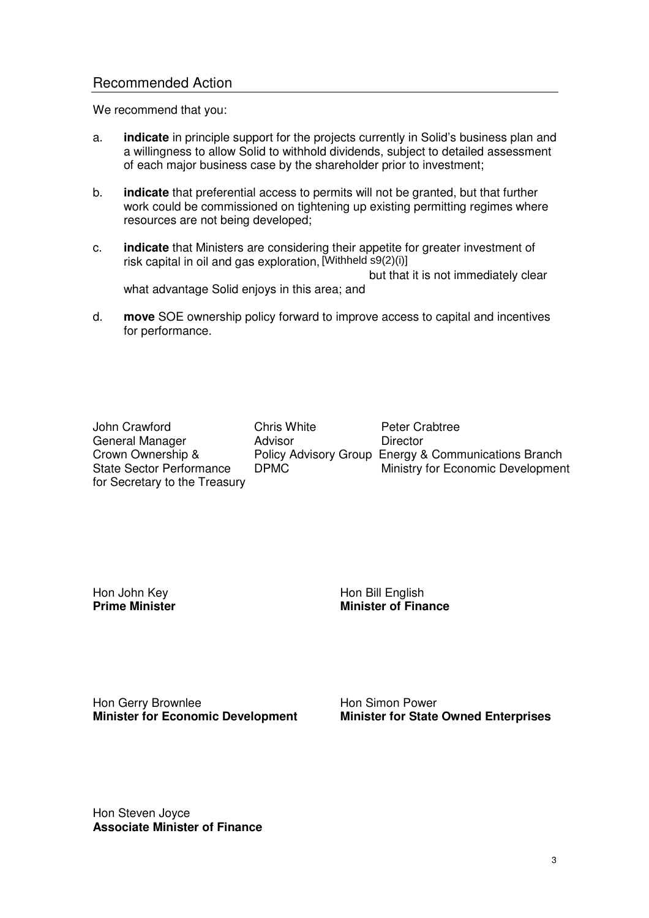### Recommended Action

We recommend that you:

- a. **indicate** in principle support for the projects currently in Solid's business plan and a willingness to allow Solid to withhold dividends, subject to detailed assessment of each major business case by the shareholder prior to investment;
- b. **indicate** that preferential access to permits will not be granted, but that further work could be commissioned on tightening up existing permitting regimes where resources are not being developed;
- c. **indicate** that Ministers are considering their appetite for greater investment of risk capital in oil and gas exploration, [Withheld s9(2)(i)] but that it is not immediately clear what advantage Solid enjoys in this area; and
- d. **move** SOE ownership policy forward to improve access to capital and incentives for performance.

John Crawford **Chris White** Peter Crabtree General Manager **Advisor Advisor** Director for Secretary to the Treasury

Crown Ownership & Policy Advisory Group Energy & Communications Branch State Sector Performance DPMC Ministry for Economic Development

Hon John Key **Hon Bill English**<br> **Prime Minister Prime Minister Minister of Finance**

Hon Gerry Brownlee **Access 19 Follows** Hon Simon Power

**Minister for Economic Development Minister for State Owned Enterprises**

Hon Steven Joyce **Associate Minister of Finance**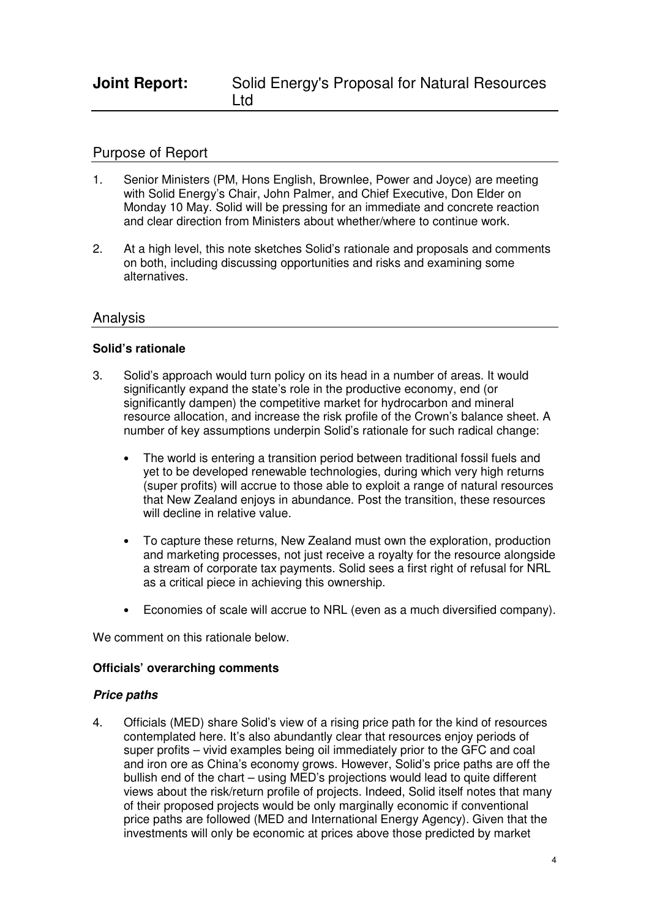## **Joint Report:** Solid Energy's Proposal for Natural Resources Ltd

## Purpose of Report

- 1. Senior Ministers (PM, Hons English, Brownlee, Power and Joyce) are meeting with Solid Energy's Chair, John Palmer, and Chief Executive, Don Elder on Monday 10 May. Solid will be pressing for an immediate and concrete reaction and clear direction from Ministers about whether/where to continue work.
- 2. At a high level, this note sketches Solid's rationale and proposals and comments on both, including discussing opportunities and risks and examining some alternatives.

## Analysis

### **Solid's rationale**

- 3. Solid's approach would turn policy on its head in a number of areas. It would significantly expand the state's role in the productive economy, end (or significantly dampen) the competitive market for hydrocarbon and mineral resource allocation, and increase the risk profile of the Crown's balance sheet. A number of key assumptions underpin Solid's rationale for such radical change:
	- The world is entering a transition period between traditional fossil fuels and yet to be developed renewable technologies, during which very high returns (super profits) will accrue to those able to exploit a range of natural resources that New Zealand enjoys in abundance. Post the transition, these resources will decline in relative value.
	- To capture these returns, New Zealand must own the exploration, production and marketing processes, not just receive a royalty for the resource alongside a stream of corporate tax payments. Solid sees a first right of refusal for NRL as a critical piece in achieving this ownership.
	- Economies of scale will accrue to NRL (even as a much diversified company).

We comment on this rationale below.

#### **Officials' overarching comments**

#### **Price paths**

4. Officials (MED) share Solid's view of a rising price path for the kind of resources contemplated here. It's also abundantly clear that resources enjoy periods of super profits – vivid examples being oil immediately prior to the GFC and coal and iron ore as China's economy grows. However, Solid's price paths are off the bullish end of the chart – using MED's projections would lead to quite different views about the risk/return profile of projects. Indeed, Solid itself notes that many of their proposed projects would be only marginally economic if conventional price paths are followed (MED and International Energy Agency). Given that the investments will only be economic at prices above those predicted by market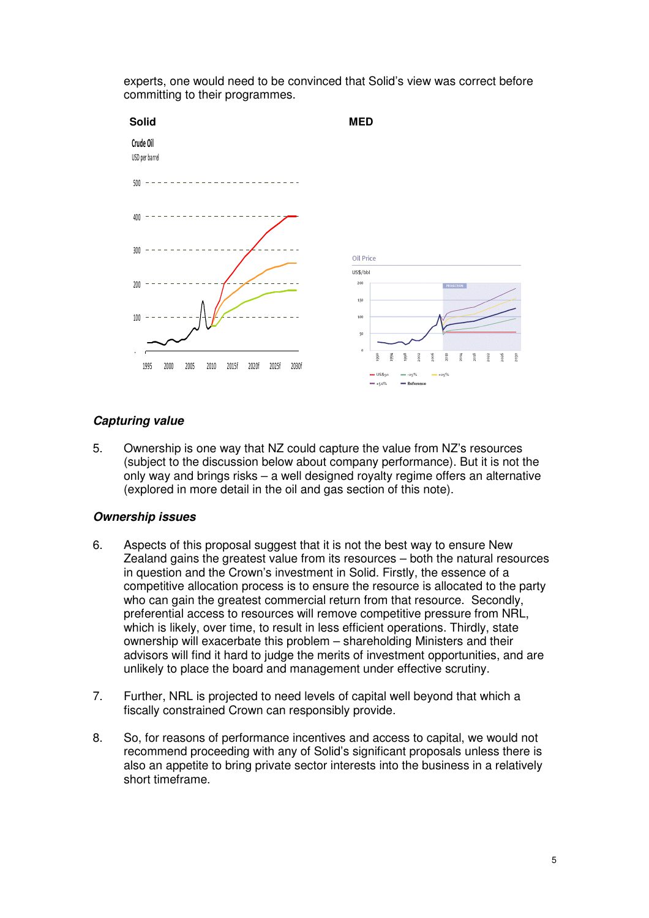

experts, one would need to be convinced that Solid's view was correct before committing to their programmes.

## **Capturing value**

5. Ownership is one way that NZ could capture the value from NZ's resources (subject to the discussion below about company performance). But it is not the only way and brings risks – a well designed royalty regime offers an alternative (explored in more detail in the oil and gas section of this note).

### **Ownership issues**

- 6. Aspects of this proposal suggest that it is not the best way to ensure New Zealand gains the greatest value from its resources – both the natural resources in question and the Crown's investment in Solid. Firstly, the essence of a competitive allocation process is to ensure the resource is allocated to the party who can gain the greatest commercial return from that resource. Secondly, preferential access to resources will remove competitive pressure from NRL, which is likely, over time, to result in less efficient operations. Thirdly, state ownership will exacerbate this problem – shareholding Ministers and their advisors will find it hard to judge the merits of investment opportunities, and are unlikely to place the board and management under effective scrutiny.
- 7. Further, NRL is projected to need levels of capital well beyond that which a fiscally constrained Crown can responsibly provide.
- 8. So, for reasons of performance incentives and access to capital, we would not recommend proceeding with any of Solid's significant proposals unless there is also an appetite to bring private sector interests into the business in a relatively short timeframe.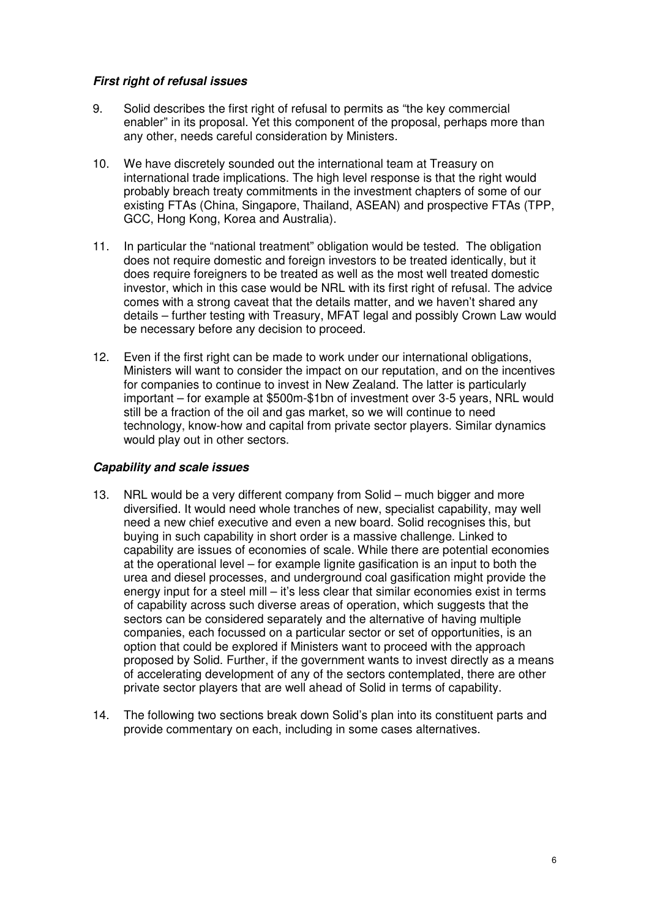### **First right of refusal issues**

- 9. Solid describes the first right of refusal to permits as "the key commercial enabler" in its proposal. Yet this component of the proposal, perhaps more than any other, needs careful consideration by Ministers.
- 10. We have discretely sounded out the international team at Treasury on international trade implications. The high level response is that the right would probably breach treaty commitments in the investment chapters of some of our existing FTAs (China, Singapore, Thailand, ASEAN) and prospective FTAs (TPP, GCC, Hong Kong, Korea and Australia).
- 11. In particular the "national treatment" obligation would be tested. The obligation does not require domestic and foreign investors to be treated identically, but it does require foreigners to be treated as well as the most well treated domestic investor, which in this case would be NRL with its first right of refusal. The advice comes with a strong caveat that the details matter, and we haven't shared any details – further testing with Treasury, MFAT legal and possibly Crown Law would be necessary before any decision to proceed.
- 12. Even if the first right can be made to work under our international obligations, Ministers will want to consider the impact on our reputation, and on the incentives for companies to continue to invest in New Zealand. The latter is particularly important – for example at \$500m-\$1bn of investment over 3-5 years, NRL would still be a fraction of the oil and gas market, so we will continue to need technology, know-how and capital from private sector players. Similar dynamics would play out in other sectors.

### **Capability and scale issues**

- 13. NRL would be a very different company from Solid much bigger and more diversified. It would need whole tranches of new, specialist capability, may well need a new chief executive and even a new board. Solid recognises this, but buying in such capability in short order is a massive challenge. Linked to capability are issues of economies of scale. While there are potential economies at the operational level – for example lignite gasification is an input to both the urea and diesel processes, and underground coal gasification might provide the energy input for a steel mill – it's less clear that similar economies exist in terms of capability across such diverse areas of operation, which suggests that the sectors can be considered separately and the alternative of having multiple companies, each focussed on a particular sector or set of opportunities, is an option that could be explored if Ministers want to proceed with the approach proposed by Solid. Further, if the government wants to invest directly as a means of accelerating development of any of the sectors contemplated, there are other private sector players that are well ahead of Solid in terms of capability.
- 14. The following two sections break down Solid's plan into its constituent parts and provide commentary on each, including in some cases alternatives.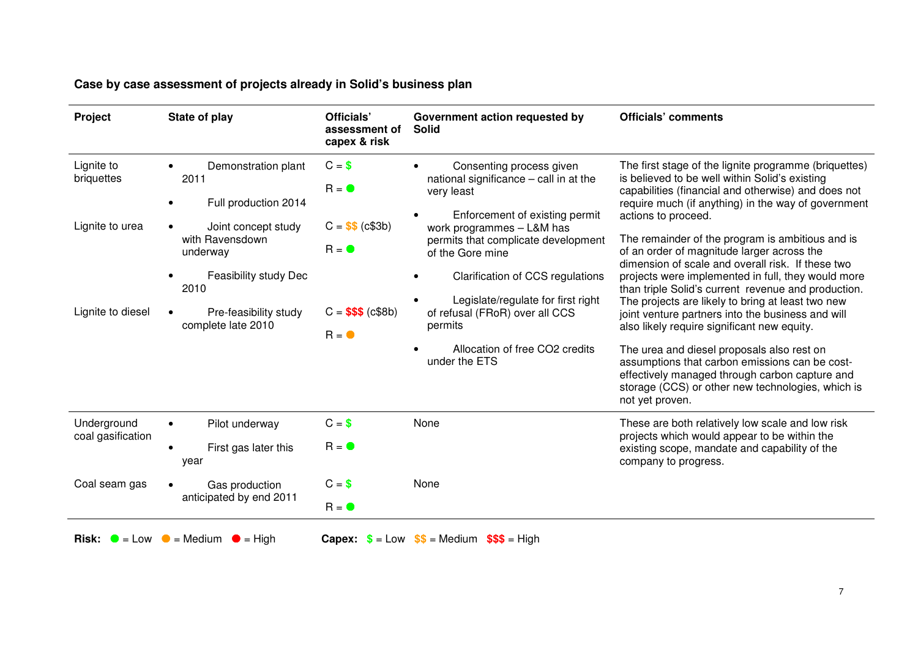| <b>Project</b>                              | State of play                                                                                             | Officials'<br>assessment of<br>capex & risk      | Government action requested by<br><b>Solid</b>                                                                                                                                                             | <b>Officials' comments</b>                                                                                                                                                                                                                                                                                                                                                                                                                                                                   |
|---------------------------------------------|-----------------------------------------------------------------------------------------------------------|--------------------------------------------------|------------------------------------------------------------------------------------------------------------------------------------------------------------------------------------------------------------|----------------------------------------------------------------------------------------------------------------------------------------------------------------------------------------------------------------------------------------------------------------------------------------------------------------------------------------------------------------------------------------------------------------------------------------------------------------------------------------------|
| Lignite to<br>briquettes<br>Lignite to urea | Demonstration plant<br>2011<br>Full production 2014<br>Joint concept study<br>with Ravensdown<br>underway | $C = $$<br>$R = 0$<br>$C = $$ (c\$3b)<br>$R = 0$ | Consenting process given<br>national significance - call in at the<br>very least<br>Enforcement of existing permit<br>work programmes - L&M has<br>permits that complicate development<br>of the Gore mine | The first stage of the lignite programme (briquettes)<br>is believed to be well within Solid's existing<br>capabilities (financial and otherwise) and does not<br>require much (if anything) in the way of government<br>actions to proceed.<br>The remainder of the program is ambitious and is<br>of an order of magnitude larger across the<br>dimension of scale and overall risk. If these two                                                                                          |
| Lignite to diesel                           | Feasibility study Dec<br>2010<br>Pre-feasibility study<br>complete late 2010                              | $C = $$ \$\$\$ (c\$8b)<br>$R = \bullet$          | Clarification of CCS regulations<br>Legislate/regulate for first right<br>of refusal (FRoR) over all CCS<br>permits<br>Allocation of free CO2 credits<br>under the ETS                                     | projects were implemented in full, they would more<br>than triple Solid's current revenue and production.<br>The projects are likely to bring at least two new<br>joint venture partners into the business and will<br>also likely require significant new equity.<br>The urea and diesel proposals also rest on<br>assumptions that carbon emissions can be cost-<br>effectively managed through carbon capture and<br>storage (CCS) or other new technologies, which is<br>not yet proven. |
| Underground<br>coal gasification            | Pilot underway<br>$\bullet$<br>First gas later this<br>year                                               | $C = $$<br>$R = 0$                               | None                                                                                                                                                                                                       | These are both relatively low scale and low risk<br>projects which would appear to be within the<br>existing scope, mandate and capability of the<br>company to progress.                                                                                                                                                                                                                                                                                                                    |
| Coal seam gas                               | Gas production<br>anticipated by end 2011                                                                 | $C = $$<br>$R = \bullet$                         | None                                                                                                                                                                                                       |                                                                                                                                                                                                                                                                                                                                                                                                                                                                                              |
|                                             | <b>Risk:</b> $\bullet$ = Low $\bullet$ = Medium $\bullet$ = High                                          |                                                  | <b>Capex:</b> $\$ = Low$ $\$$ = Medium $\$$ \$ = High                                                                                                                                                      |                                                                                                                                                                                                                                                                                                                                                                                                                                                                                              |

# **Case by case assessment of projects already in Solid's business plan**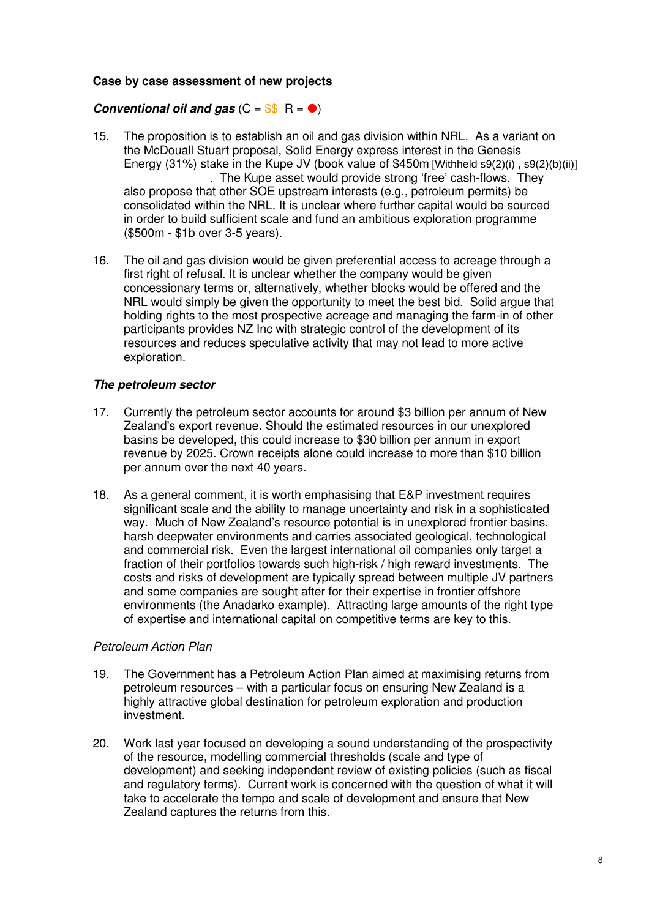### **Case by case assessment of new projects**

### **Conventional oil and gas**  $(C = $S \cap R = 0)$

- 15. The proposition is to establish an oil and gas division within NRL. As a variant on the McDouall Stuart proposal, Solid Energy express interest in the Genesis Energy (31%) stake in the Kupe JV (book value of \$450m [Withheld s9(2)(i) , s9(2)(b)(ii)] . The Kupe asset would provide strong 'free' cash-flows. They also propose that other SOE upstream interests (e.g., petroleum permits) be consolidated within the NRL. It is unclear where further capital would be sourced in order to build sufficient scale and fund an ambitious exploration programme (\$500m - \$1b over 3-5 years).
- 16. The oil and gas division would be given preferential access to acreage through a first right of refusal. It is unclear whether the company would be given concessionary terms or, alternatively, whether blocks would be offered and the NRL would simply be given the opportunity to meet the best bid. Solid argue that holding rights to the most prospective acreage and managing the farm-in of other participants provides NZ Inc with strategic control of the development of its resources and reduces speculative activity that may not lead to more active exploration.

### **The petroleum sector**

- 17. Currently the petroleum sector accounts for around \$3 billion per annum of New Zealand's export revenue. Should the estimated resources in our unexplored basins be developed, this could increase to \$30 billion per annum in export revenue by 2025. Crown receipts alone could increase to more than \$10 billion per annum over the next 40 years.
- 18. As a general comment, it is worth emphasising that E&P investment requires significant scale and the ability to manage uncertainty and risk in a sophisticated way. Much of New Zealand's resource potential is in unexplored frontier basins, harsh deepwater environments and carries associated geological, technological and commercial risk. Even the largest international oil companies only target a fraction of their portfolios towards such high-risk / high reward investments. The costs and risks of development are typically spread between multiple JV partners and some companies are sought after for their expertise in frontier offshore environments (the Anadarko example). Attracting large amounts of the right type of expertise and international capital on competitive terms are key to this.

### Petroleum Action Plan

- 19. The Government has a Petroleum Action Plan aimed at maximising returns from petroleum resources – with a particular focus on ensuring New Zealand is a highly attractive global destination for petroleum exploration and production investment.
- 20. Work last year focused on developing a sound understanding of the prospectivity of the resource, modelling commercial thresholds (scale and type of development) and seeking independent review of existing policies (such as fiscal and regulatory terms). Current work is concerned with the question of what it will take to accelerate the tempo and scale of development and ensure that New Zealand captures the returns from this.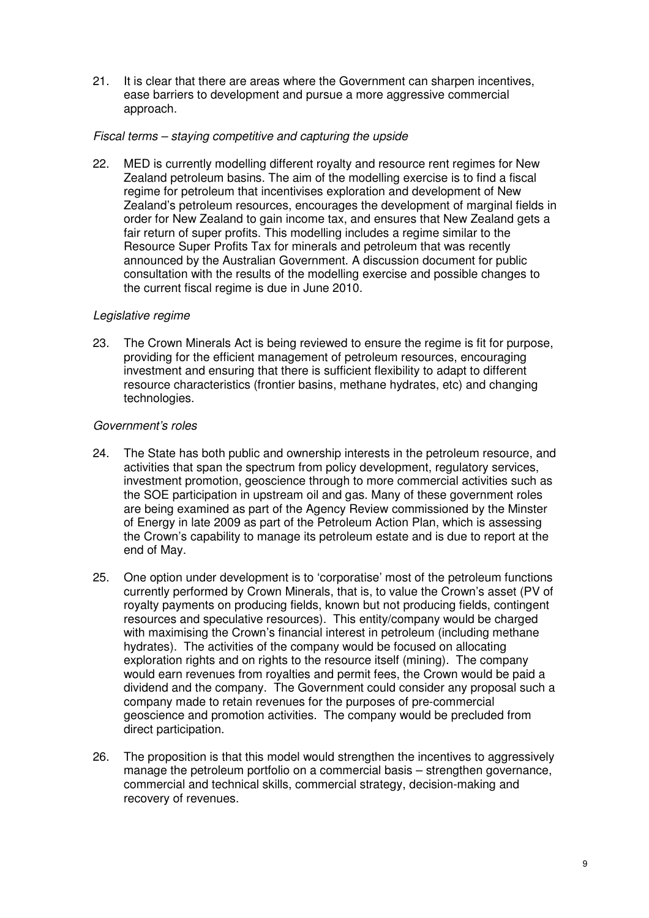21. It is clear that there are areas where the Government can sharpen incentives, ease barriers to development and pursue a more aggressive commercial approach.

### Fiscal terms – staying competitive and capturing the upside

22. MED is currently modelling different royalty and resource rent regimes for New Zealand petroleum basins. The aim of the modelling exercise is to find a fiscal regime for petroleum that incentivises exploration and development of New Zealand's petroleum resources, encourages the development of marginal fields in order for New Zealand to gain income tax, and ensures that New Zealand gets a fair return of super profits. This modelling includes a regime similar to the Resource Super Profits Tax for minerals and petroleum that was recently announced by the Australian Government. A discussion document for public consultation with the results of the modelling exercise and possible changes to the current fiscal regime is due in June 2010.

### Legislative regime

23. The Crown Minerals Act is being reviewed to ensure the regime is fit for purpose, providing for the efficient management of petroleum resources, encouraging investment and ensuring that there is sufficient flexibility to adapt to different resource characteristics (frontier basins, methane hydrates, etc) and changing technologies.

### Government's roles

- 24. The State has both public and ownership interests in the petroleum resource, and activities that span the spectrum from policy development, regulatory services, investment promotion, geoscience through to more commercial activities such as the SOE participation in upstream oil and gas. Many of these government roles are being examined as part of the Agency Review commissioned by the Minster of Energy in late 2009 as part of the Petroleum Action Plan, which is assessing the Crown's capability to manage its petroleum estate and is due to report at the end of May.
- 25. One option under development is to 'corporatise' most of the petroleum functions currently performed by Crown Minerals, that is, to value the Crown's asset (PV of royalty payments on producing fields, known but not producing fields, contingent resources and speculative resources). This entity/company would be charged with maximising the Crown's financial interest in petroleum (including methane hydrates). The activities of the company would be focused on allocating exploration rights and on rights to the resource itself (mining). The company would earn revenues from royalties and permit fees, the Crown would be paid a dividend and the company. The Government could consider any proposal such a company made to retain revenues for the purposes of pre-commercial geoscience and promotion activities. The company would be precluded from direct participation.
- 26. The proposition is that this model would strengthen the incentives to aggressively manage the petroleum portfolio on a commercial basis – strengthen governance, commercial and technical skills, commercial strategy, decision-making and recovery of revenues.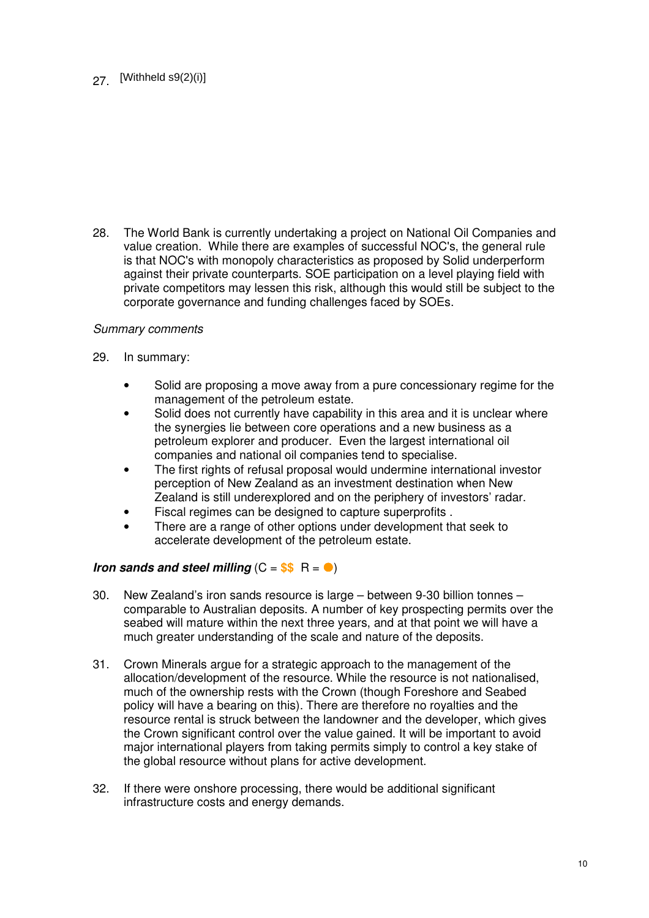## 27. [Withheld s9(2)(i)]

28. The World Bank is currently undertaking a project on National Oil Companies and value creation. While there are examples of successful NOC's, the general rule is that NOC's with monopoly characteristics as proposed by Solid underperform against their private counterparts. SOE participation on a level playing field with private competitors may lessen this risk, although this would still be subject to the corporate governance and funding challenges faced by SOEs.

#### Summary comments

- 29. In summary:
	- Solid are proposing a move away from a pure concessionary regime for the management of the petroleum estate.
	- Solid does not currently have capability in this area and it is unclear where the synergies lie between core operations and a new business as a petroleum explorer and producer. Even the largest international oil companies and national oil companies tend to specialise.
	- The first rights of refusal proposal would undermine international investor perception of New Zealand as an investment destination when New Zealand is still underexplored and on the periphery of investors' radar.
	- Fiscal regimes can be designed to capture superprofits .
	- There are a range of other options under development that seek to accelerate development of the petroleum estate.

### **Iron sands and steel milling**  $(C = $$   $\frac{1}{2}$   $R = 0$

- 30. New Zealand's iron sands resource is large between 9-30 billion tonnes comparable to Australian deposits. A number of key prospecting permits over the seabed will mature within the next three years, and at that point we will have a much greater understanding of the scale and nature of the deposits.
- 31. Crown Minerals argue for a strategic approach to the management of the allocation/development of the resource. While the resource is not nationalised, much of the ownership rests with the Crown (though Foreshore and Seabed policy will have a bearing on this). There are therefore no royalties and the resource rental is struck between the landowner and the developer, which gives the Crown significant control over the value gained. It will be important to avoid major international players from taking permits simply to control a key stake of the global resource without plans for active development.
- 32. If there were onshore processing, there would be additional significant infrastructure costs and energy demands.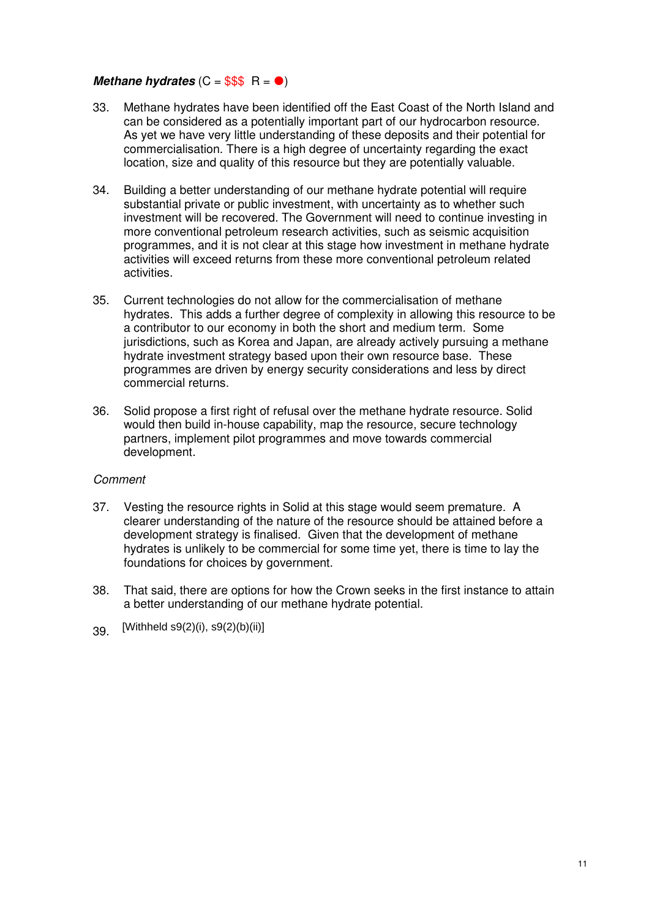### *Methane hydrates*  $(C = $$ \$\$  $R =$

- 33. Methane hydrates have been identified off the East Coast of the North Island and can be considered as a potentially important part of our hydrocarbon resource. As yet we have very little understanding of these deposits and their potential for commercialisation. There is a high degree of uncertainty regarding the exact location, size and quality of this resource but they are potentially valuable.
- 34. Building a better understanding of our methane hydrate potential will require substantial private or public investment, with uncertainty as to whether such investment will be recovered. The Government will need to continue investing in more conventional petroleum research activities, such as seismic acquisition programmes, and it is not clear at this stage how investment in methane hydrate activities will exceed returns from these more conventional petroleum related activities.
- 35. Current technologies do not allow for the commercialisation of methane hydrates. This adds a further degree of complexity in allowing this resource to be a contributor to our economy in both the short and medium term. Some jurisdictions, such as Korea and Japan, are already actively pursuing a methane hydrate investment strategy based upon their own resource base. These programmes are driven by energy security considerations and less by direct commercial returns.
- 36. Solid propose a first right of refusal over the methane hydrate resource. Solid would then build in-house capability, map the resource, secure technology partners, implement pilot programmes and move towards commercial development.

#### Comment

- 37. Vesting the resource rights in Solid at this stage would seem premature. A clearer understanding of the nature of the resource should be attained before a development strategy is finalised. Given that the development of methane hydrates is unlikely to be commercial for some time yet, there is time to lay the foundations for choices by government.
- 38. That said, there are options for how the Crown seeks in the first instance to attain a better understanding of our methane hydrate potential.
- 39.  $[Without S9(2)(i), S9(2)(b)(ii)]$